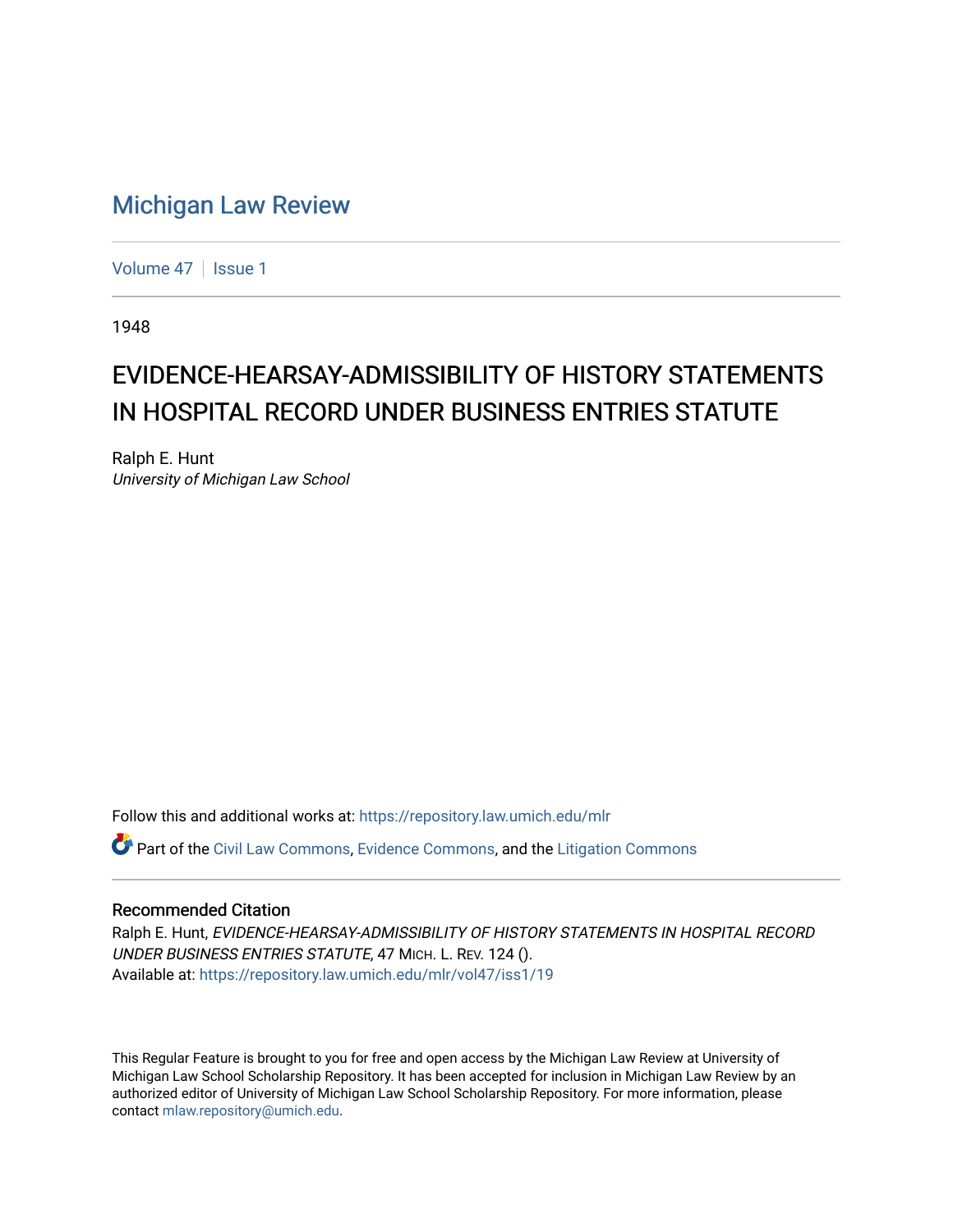## [Michigan Law Review](https://repository.law.umich.edu/mlr)

[Volume 47](https://repository.law.umich.edu/mlr/vol47) | [Issue 1](https://repository.law.umich.edu/mlr/vol47/iss1)

1948

## EVIDENCE-HEARSAY-ADMISSIBILITY OF HISTORY STATEMENTS IN HOSPITAL RECORD UNDER BUSINESS ENTRIES STATUTE

Ralph E. Hunt University of Michigan Law School

Follow this and additional works at: [https://repository.law.umich.edu/mlr](https://repository.law.umich.edu/mlr?utm_source=repository.law.umich.edu%2Fmlr%2Fvol47%2Fiss1%2F19&utm_medium=PDF&utm_campaign=PDFCoverPages) 

Part of the [Civil Law Commons](http://network.bepress.com/hgg/discipline/835?utm_source=repository.law.umich.edu%2Fmlr%2Fvol47%2Fiss1%2F19&utm_medium=PDF&utm_campaign=PDFCoverPages), [Evidence Commons](http://network.bepress.com/hgg/discipline/601?utm_source=repository.law.umich.edu%2Fmlr%2Fvol47%2Fiss1%2F19&utm_medium=PDF&utm_campaign=PDFCoverPages), and the [Litigation Commons](http://network.bepress.com/hgg/discipline/910?utm_source=repository.law.umich.edu%2Fmlr%2Fvol47%2Fiss1%2F19&utm_medium=PDF&utm_campaign=PDFCoverPages)

## Recommended Citation

Ralph E. Hunt, EVIDENCE-HEARSAY-ADMISSIBILITY OF HISTORY STATEMENTS IN HOSPITAL RECORD UNDER BUSINESS ENTRIES STATUTE, 47 MICH. L. REV. 124 (). Available at: [https://repository.law.umich.edu/mlr/vol47/iss1/19](https://repository.law.umich.edu/mlr/vol47/iss1/19?utm_source=repository.law.umich.edu%2Fmlr%2Fvol47%2Fiss1%2F19&utm_medium=PDF&utm_campaign=PDFCoverPages) 

This Regular Feature is brought to you for free and open access by the Michigan Law Review at University of Michigan Law School Scholarship Repository. It has been accepted for inclusion in Michigan Law Review by an authorized editor of University of Michigan Law School Scholarship Repository. For more information, please contact [mlaw.repository@umich.edu](mailto:mlaw.repository@umich.edu).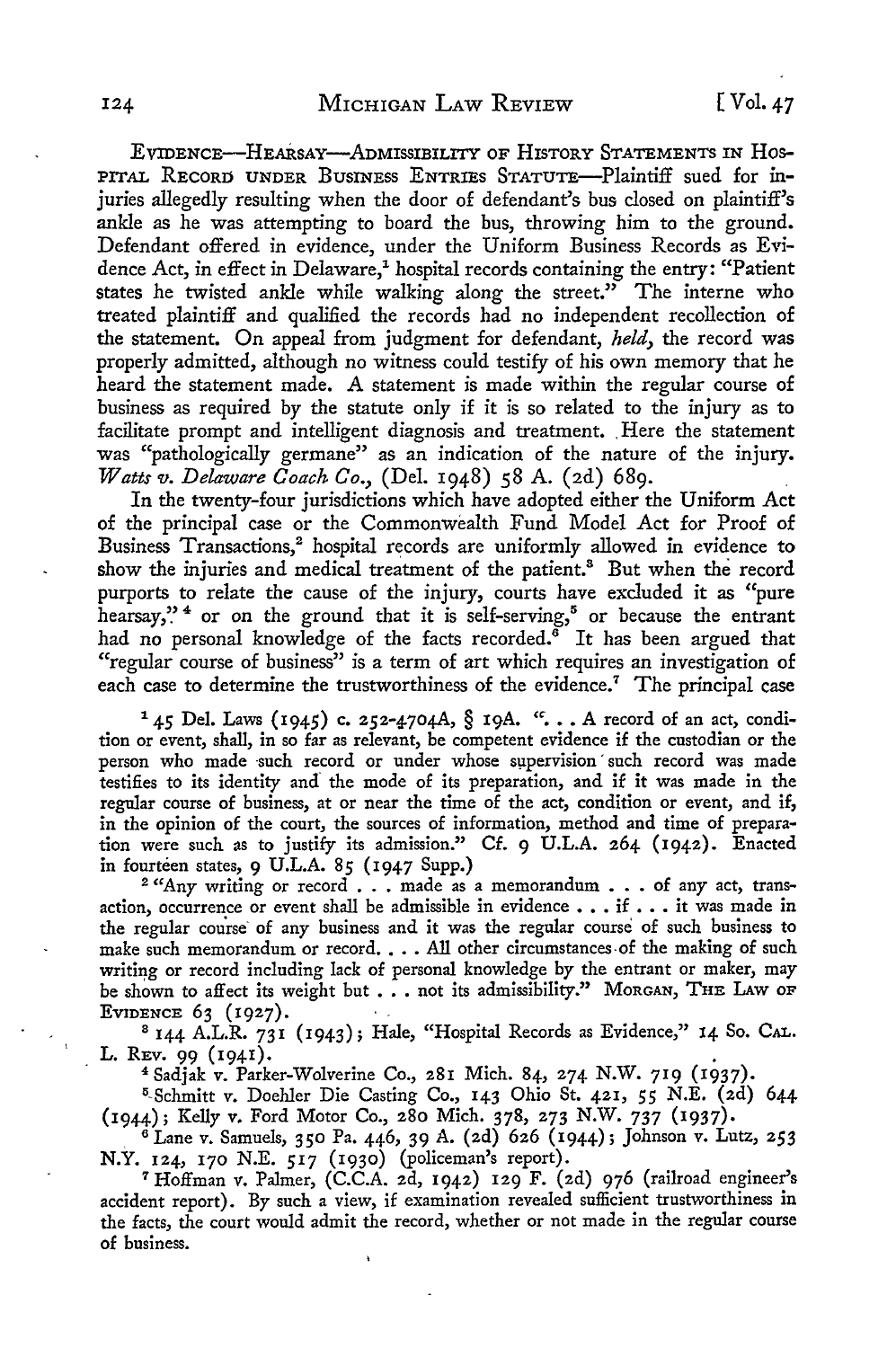EVIDENCE-HEARSAY-ADMISSIBILITY OF HISTORY STATEMENTS IN Hos-PITAL RECORD UNDER BUSINESS ENTRIES STATUTE-Plaintiff sued for injuries allegedly resulting when the door of defendant's bus closed on plaintiff's ankle as he was attempting to board the bus, throwing him to the ground. Defendant offered in evidence, under the Uniform Business Records as Evidence Act, in effect in Delaware,<sup>1</sup> hospital records containing the entry: "Patient states he twisted ankle while walking along the street." The interne who treated plaintiff and qualified the records had no independent recollection of the statement. On appeal from judgment for defendant, *held,* the record was properly admitted, although no witness could testify of his own memory that he heard the statement made. A statement is made within the regular course of business as required by the statute only if it is so related to the injury as to facilitate prompt and intelligent diagnosis and treatment. Here the statement was "pathologically germane" as an indication of the nature of the injury. *Watts v. Delaware Coach Co.,* (Del. 1948) 58 A. (2d) 689.

In the twenty-four jurisdictions which have adopted either the Uniform Act of the principal case or the Commonwealth Fund Model Act for Proof of Business Transactions,<sup>2</sup> hospital records are uniformly allowed in evidence to show the injuries and medical treatment of the patient.<sup>8</sup> But when the record purports to relate the cause of the injury, courts have excluded it as "pure hearsay,"<sup>4</sup> or on the ground that it is self-serving,<sup>5</sup> or because the entrant had no personal knowledge of the facts recorded.<sup>8</sup> It has been argued that "regular course of business" is a term of art which requires an investigation of each case to determine the trustworthiness of the evidence.<sup>7</sup> The principal case

<sup>1</sup> 45 Del. Laws (1945) c. 252-4704A, § 19A. ". . . A record of an act, condition or event, shall, in so far as relevant, be competent evidence if the custodian or the person who made such record or under whose supervision such record was made testifies to its identity and the mode of its preparation, and if it was made in the regular course of business, at or near the time of the act, condition or event, and if, in the opinion of the court, the sources of information, method and time of preparation were such as to justify its admission." Cf. 9 U.L.A. 264 (1942). Enacted in fourteen states, 9 U.L.A. 85 (1947 Supp.)

<sup>2</sup> "Any writing or record . . . made as a memorandum . . . of any act, transaction, occurrence or event shall be admissible in evidence  $\ldots$  if  $\ldots$  it was made in the regular course of any business and it was the regular course of such business to make such memorandum or record. . . . All other circumstances of the making of such writing or record including lack of personal knowledge by the entrant or maker, may be shown to affect its weight but . . . not its admissibility." MORGAN, THE LAW OF EVIDENCE 63 (1927).

<sup>8</sup> 144 A.L.R. 731 (1943); Hale, "Hospital Records as Evidence," 14 So. CAL. L. Rev. 99  $(1941)$ .

4 Sadjak v. Parker-Wolverine Co., 281 Mich. 84, 274 N.W. 719 (1937).

<sup>5</sup>-Schmitt v. Daehler Die Casting Co., 143 Ohio St. 421, 55 N.E. (2d) 644 (1944); Kelly v. Ford Motor Co., 280 Mich. 378, 273 N.W. 737 (1937) •

 $^6$  Lane v. Samuels, 350 Pa. 446, 39 A. (2d) 626 (1944); Johnson v. Lutz, 253 N.Y. 124, 170 N.E. 517 (1930) (policeman's report).

<sup>7</sup>Hoffman v. Palmer, (C.C.A. 2d, 1942) 129 F. (2d) 976 (railroad engineer's accident report). By such a view, if examination revealed sufficient trustworthiness in the facts, the court would admit the record, whether or not made in the regular course of business.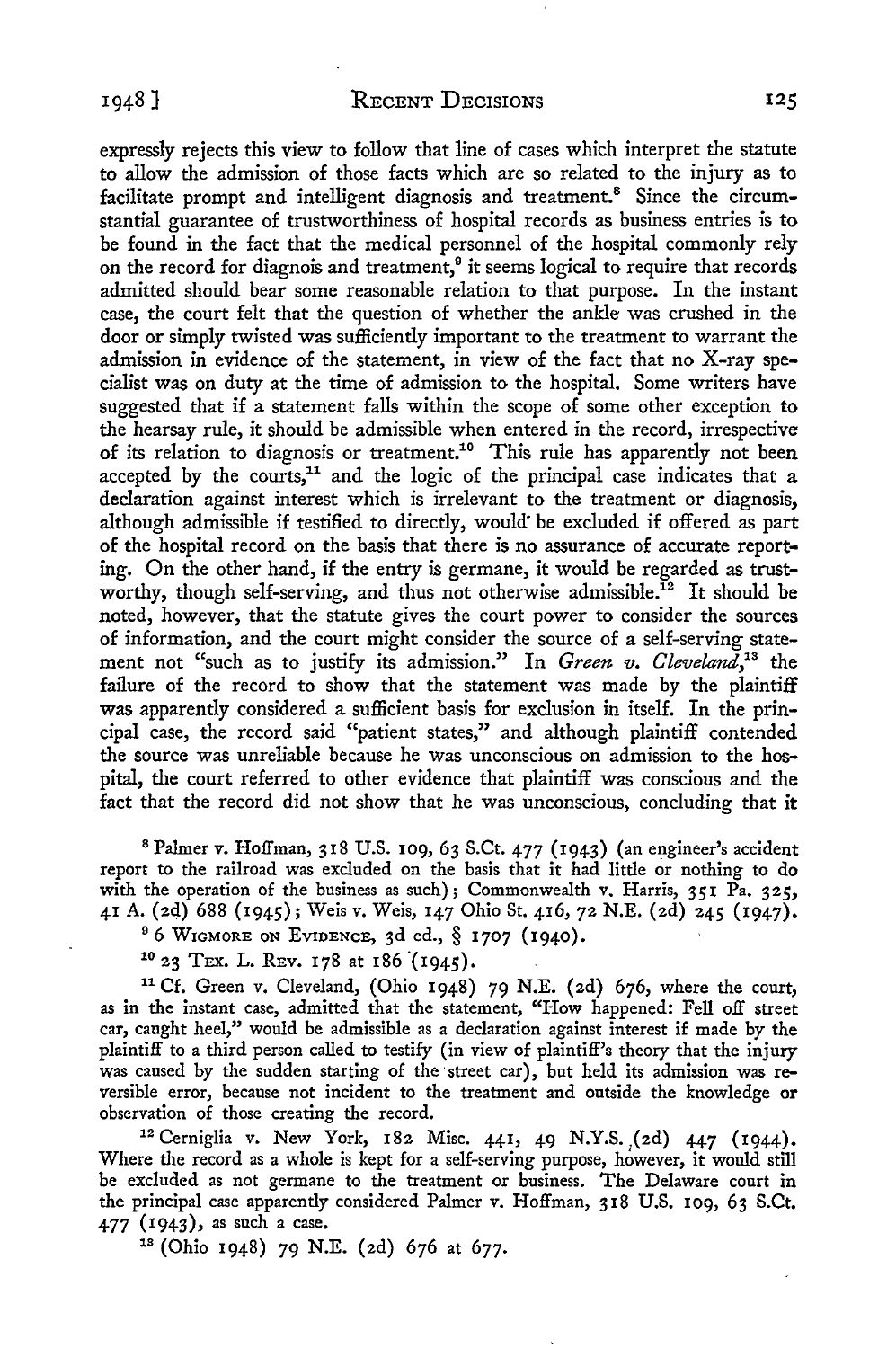expressly rejects this view to follow that line of cases which interpret the statute to allow the admission of those facts which are so related to the injury as to facilitate prompt and intelligent diagnosis and treatment.<sup>8</sup> Since the circumstantial guarantee of trustworthiness of hospital records as business entries is to be found in the fact that the medical personnel of the hospital commonly rely on the record for diagnois and treatment,<sup>9</sup> it seems logical to require that records admitted should bear some reasonable relation to that purpose. In the instant case, the court felt that the question of whether the ankle was crushed in the door or simply twisted was sufficiently important to the treatment to warrant the admission in evidence of the statement, in view of the fact that no X-ray specialist was on duty at the time of admission to the hospital. Some writers have suggested that if a statement falls within the scope of some other exception to the hearsay rule, it should be admissible when entered in the record, irrespective of its relation to diagnosis or treatment.10 This rule has apparently not been accepted by the courts, $11$  and the logic of the principal case indicates that a declaration against interest which is irrelevant to the treatment or diagnosis, although admissible if testified to directly, would be excluded if offered as part of the hospital record on the basis that there is no assurance of accurate reporting. On the other hand, if the entry is germane, it would be regarded as trustworthy, though self-serving, and thus not otherwise admissible.<sup>12</sup> It should be noted, however, that the statute gives the court power to consider the sources of information, and the court might consider the source of a self-serving statement not "such as to justify its admission." In *Green v. Cleveland*,<sup>18</sup> the failure of the record to show that the statement was made by the plaintiff was apparently considered a sufficient basis for exclusion in itself. In the principal case, the record said "patient states," and although plaintiff contended the source was unreliable because he was unconscious on admission to the hospital, the court referred to other evidence that plaintiff was conscious and the fact that the record did not show that he was unconscious, concluding that it

<sup>8</sup>Palmer v. Hoffman, 318 U.S. 109, 63 S.Ct. 477 (1943) (an engineer's accident report to the railroad was excluded on the basis that it had little or nothing to do with the operation of the business as such); Commonwealth v. Harris, 351 Pa. 325, 41 A. (2d) 688 (1945); Weis v. Weis, 147 Ohio St. 416, 72 N.E. (2d) 245 (1947).<br><sup>9</sup> 6 WIGMORE ON EVIDENCE, 3d ed., § 1707 (1940).<br><sup>10</sup> 23 TEX. L. REv. 178 at 186 (1945).

<sup>11</sup>Cf. Green v. Cleveland, (Ohio 1948) 79 N.E. (2d) 676, where the court, as in the instant case, admitted that the statement, "How happened: Fell off street car, caught heel," would be admissible as a declaration against interest if made by the plaintiff to a third person called to testify (in view of plaintiff's theory that the injury was caused by the sudden starting of the street car), but held its admission was reversible error, because not incident to the treatment and outside the knowledge or

observation of those creating the record.<br><sup>12</sup> Cerniglia v. New York, 182 Misc. 441, 49 N.Y.S. (2d) 447 (1944). Where the record as a whole is kept for a self-serving purpose, however, it would still be excluded as not germane to the treatment or business. The Delaware court in the principal case apparently considered Palmer v. Hoffman, 318 U.S. 109, 63 S.Ct. 477 (1943), as such a case. 18 (Ohio 1948) 79 N.E. (2d) 676 at 677.